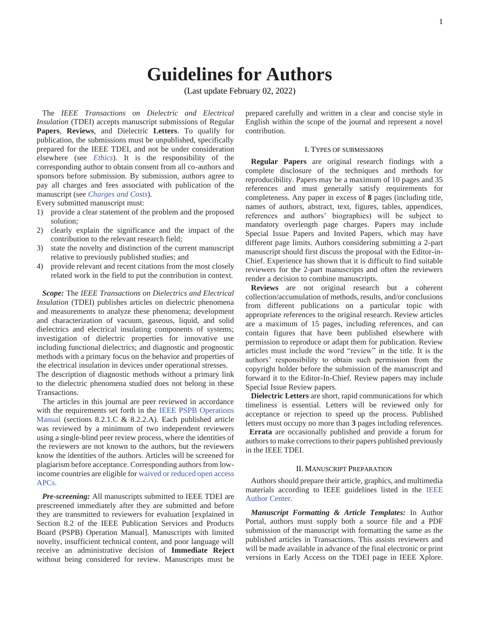# **Guidelines for Authors**

(Last update February 02, 2022)

The *IEEE Transactions on Dielectric and Electrical Insulation* (TDEI) accepts manuscript submissions of Regular **Papers**, **Reviews**, and Dielectric **Letters**. To qualify for publication, the submissions must be unpublished, specifically prepared for the IEEE TDEI, and not be under consideration elsewhere (see *Ethics*). It is the responsibility of the corresponding author to obtain consent from all co-authors and sponsors before submission. By submission, authors agree to pay all charges and fees associated with publication of the manuscript (see *Charges and Costs*).

Every submitted manuscript must:

- 1) provide a clear statement of the problem and the proposed solution;
- 2) clearly explain the significance and the impact of the contribution to the relevant research field;
- 3) state the novelty and distinction of the current manuscript relative to previously published studies; and
- 4) provide relevant and recent citations from the most closely related work in the field to put the contribution in context.

*Scope:* The *IEEE Transactions on Dielectrics and Electrical Insulation* (TDEI) publishes articles on dielectric phenomena and measurements to analyze these phenomena; development and characterization of vacuum, gaseous, liquid, and solid dielectrics and electrical insulating components of systems; investigation of dielectric properties for innovative use including functional dielectrics; and diagnostic and prognostic methods with a primary focus on the behavior and properties of the electrical insulation in devices under operational stresses.

The description of diagnostic methods without a primary link to the dielectric phenomena studied does not belong in these Transactions.

The articles in this journal are peer reviewed in accordance with the requirements set forth in the IEEE PSPB Operations Manual (sections 8.2.1.C & 8.2.2.A). Each published article was reviewed by a minimum of two independent reviewers using a single-blind peer review process, where the identities of the reviewers are not known to the authors, but the reviewers know the identities of the authors. Articles will be screened for plagiarism before acceptance. Corresponding authors from lowincome countries are eligible for waived or reduced open access APCs.

*Pre-screening:* All manuscripts submitted to IEEE TDEI are prescreened immediately after they are submitted and before they are transmitted to reviewers for evaluation [explained in Section 8.2 of the IEEE Publication Services and Products Board (PSPB) Operation Manual]. Manuscripts with limited novelty, insufficient technical content, and poor language will receive an administrative decision of **Immediate Reject**  without being considered for review. Manuscripts must be

prepared carefully and written in a clear and concise style in English within the scope of the journal and represent a novel contribution.

#### I. TYPES OF SUBMISSIONS

**Regular Papers** are original research findings with a complete disclosure of the techniques and methods for reproducibility. Papers may be a maximum of 10 pages and 35 references and must generally satisfy requirements for completeness. Any paper in excess of **8** pages (including title, names of authors, abstract, text, figures, tables, appendices, references and authors' biographies) will be subject to mandatory overlength page charges. Papers may include Special Issue Papers and Invited Papers, which may have different page limits. Authors considering submitting a 2-part manuscript should first discuss the proposal with the Editor-in-Chief. Experience has shown that it is difficult to find suitable reviewers for the 2-part manuscripts and often the reviewers render a decision to combine manuscripts.

**Reviews** are not original research but a coherent collection/accumulation of methods, results, and/or conclusions from different publications on a particular topic with appropriate references to the original research. Review articles are a maximum of 15 pages, including references, and can contain figures that have been published elsewhere with permission to reproduce or adapt them for publication. Review articles must include the word "review" in the title. It is the authors' responsibility to obtain such permission from the copyright holder before the submission of the manuscript and forward it to the Editor-In-Chief. Review papers may include Special Issue Review papers.

**Dielectric Letters** are short, rapid communications for which timeliness is essential. Letters will be reviewed only for acceptance or rejection to speed up the process. Published letters must occupy no more than **3** pages including references.

 **Errata** are occasionally published and provide a forum for authors to make corrections to their papers published previously in the IEEE TDEI.

## II. MANUSCRIPT PREPARATION

Authors should prepare their article, graphics, and multimedia materials according to IEEE guidelines listed in the IEEE Author Center.

*Manuscript Formatting & Article Templates:* In Author Portal, authors must supply both a source file and a PDF submission of the manuscript with formatting the same as the published articles in Transactions. This assists reviewers and will be made available in advance of the final electronic or print versions in Early Access on the TDEI page in IEEE Xplore.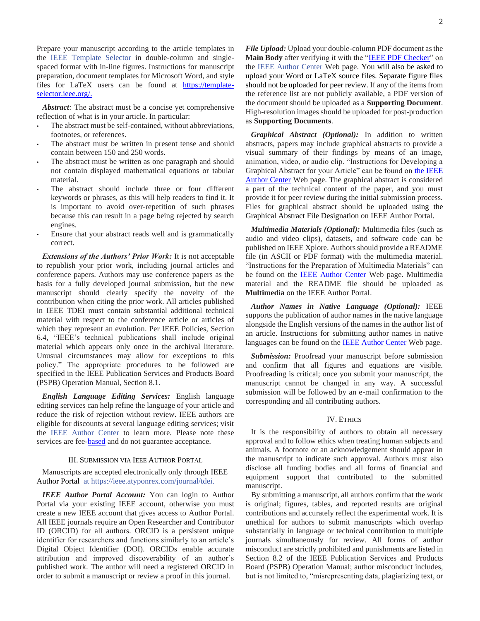Prepare your manuscript according to the article templates in the IEEE Template Selector in double-column and singlespaced format with in-line figures. Instructions for manuscript preparation, document templates for Microsoft Word, and style files for LaTeX users can be found at [https://template](https://template-selector.ieee.org/)[selector.ieee.org/.](https://template-selector.ieee.org/)

*Abstract:* The abstract must be a concise yet comprehensive reflection of what is in your article. In particular:

- The abstract must be self-contained, without abbreviations, footnotes, or references.
- The abstract must be written in present tense and should contain between 150 and 250 words.
- The abstract must be written as one paragraph and should not contain displayed mathematical equations or tabular material.
- The abstract should include three or four different keywords or phrases, as this will help readers to find it. It is important to avoid over-repetition of such phrases because this can result in a page being rejected by search engines.
- Ensure that your abstract reads well and is grammatically correct.

*Extensions of the Authors' Prior Work:* It is not acceptable to republish your prior work, including journal articles and conference papers. Authors may use conference papers as the basis for a fully developed journal submission, but the new manuscript should clearly specify the novelty of the contribution when citing the prior work. All articles published in IEEE TDEI must contain substantial additional technical material with respect to the conference article or articles of which they represent an evolution. Per IEEE Policies, Section 6.4, "IEEE's technical publications shall include original material which appears only once in the archival literature. Unusual circumstances may allow for exceptions to this policy." The appropriate procedures to be followed are specified in the IEEE Publication Services and Products Board (PSPB) Operation Manual, Section 8.1.

*English Language Editing Services:* English language editing services can help refine the language of your article and reduce the risk of rejection without review. IEEE authors are eligible for discounts at several language editing services; visit the IEEE Author Center to learn more. Please note these services are fee-**based** and do not guarantee acceptance.

# III. SUBMISSION VIA IEEE AUTHOR PORTAL

Manuscripts are accepted electronically only through IEEE Author Portal at [https://ieee.atyponrex.com/journal/tdei.](https://ieee.atyponrex.com/journal/tdei)

*IEEE Author Portal Account:* You can login to Author Portal via your existing IEEE account, otherwise you must create a new IEEE account that gives access to Author Portal. All IEEE journals require an Open Researcher and Contributor ID (ORCID) for all authors. ORCID is a persistent unique identifier for researchers and functions similarly to an article's Digital Object Identifier (DOI). ORCIDs enable accurate attribution and improved discoverability of an author's published work. The author will need a registered ORCID in order to submit a manuscript or review a proof in this journal.

*File Upload:* Upload your double-column PDF document as the **Main Body** after verifying it with the ["IEEE PDF Checker"](https://ieee-pdfchecker.org/account/login?ReturnUrl=%2F) on the IEEE Author Center Web page. You will also be asked to upload your Word or LaTeX source files. Separate figure files should not be uploaded for peer review. If any of the items from the reference list are not publicly available, a PDF version of the document should be uploaded as a **Supporting Document**. High-resolution images should be uploaded for post-production as **Supporting Documents**.

*Graphical Abstract (Optional):* In addition to written abstracts, papers may include graphical abstracts to provide a visual summary of their findings by means of an image, animation, video, or audio clip. "Instructions for Developing a Graphical Abstract for your Article" can be found o[n the IEEE](https://journals.ieeeauthorcenter.ieee.org/create-your-ieee-journal-article/prepare-supplementary-materials/#graphicalabstract)  [Author Center](https://journals.ieeeauthorcenter.ieee.org/create-your-ieee-journal-article/prepare-supplementary-materials/#graphicalabstract) Web page. The graphical abstract is considered a part of the technical content of the paper, and you must provide it for peer review during the initial submission process. Files for graphical abstract should be uploaded using the Graphical Abstract File Designation on IEEE Author Portal.

*Multimedia Materials (Optional):* Multimedia files (such as audio and video clips), datasets, and software code can be published on IEEE Xplore. Authors should provide a README file (in ASCII or PDF format) with the multimedia material. "Instructions for the Preparation of Multimedia Materials" can be found on the **IEEE Author Center** Web page. Multimedia material and the README file should be uploaded as **Multimedia** on the IEEE Author Portal.

*Author Names in Native Language (Optional):* IEEE supports the publication of author names in the native language alongside the English versions of the names in the author list of an article. Instructions for submitting author names in native languages can be found on the [IEEE Author Center](https://journals.ieeeauthorcenter.ieee.org/create-your-ieee-journal-article/create-the-text-of-your-article/structure-your-article/#authors) Web page.

**Submission:** Proofread your manuscript before submission and confirm that all figures and equations are visible. Proofreading is critical; once you submit your manuscript, the manuscript cannot be changed in any way. A successful submission will be followed by an e-mail confirmation to the corresponding and all contributing authors.

#### IV. ETHICS

It is the responsibility of authors to obtain all necessary approval and to follow ethics when treating human subjects and animals. A footnote or an acknowledgement should appear in the manuscript to indicate such approval. Authors must also disclose all funding bodies and all forms of financial and equipment support that contributed to the submitted manuscript.

By submitting a manuscript, all authors confirm that the work is original; figures, tables, and reported results are original contributions and accurately reflect the experimental work. It is unethical for authors to submit manuscripts which overlap substantially in language or technical contribution to multiple journals simultaneously for review. All forms of author misconduct are strictly prohibited and punishments are listed in Section 8.2 of the IEEE Publication Services and Products Board (PSPB) Operation Manual; author misconduct includes, but is not limited to, "misrepresenting data, plagiarizing text, or